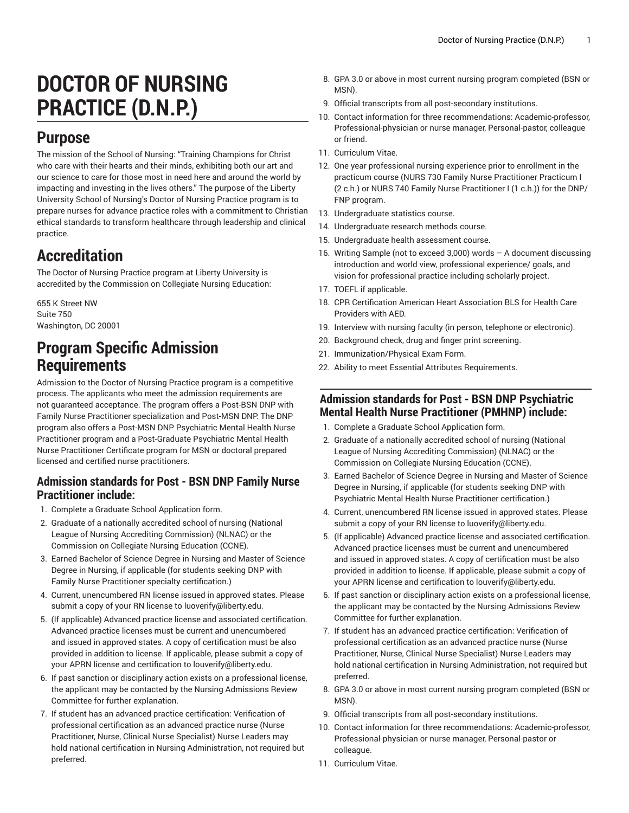# **DOCTOR OF NURSING PRACTICE (D.N.P.)**

### **Purpose**

The mission of the School of Nursing: "Training Champions for Christ who care with their hearts and their minds, exhibiting both our art and our science to care for those most in need here and around the world by impacting and investing in the lives others." The purpose of the Liberty University School of Nursing's Doctor of Nursing Practice program is to prepare nurses for advance practice roles with a commitment to Christian ethical standards to transform healthcare through leadership and clinical practice.

# **Accreditation**

The Doctor of Nursing Practice program at Liberty University is accredited by the Commission on Collegiate Nursing Education:

655 K Street NW Suite 750 Washington, DC 20001

### **Program Specific Admission Requirements**

Admission to the Doctor of Nursing Practice program is a competitive process. The applicants who meet the admission requirements are not guaranteed acceptance. The program offers a Post-BSN DNP with Family Nurse Practitioner specialization and Post-MSN DNP. The DNP program also offers a Post-MSN DNP Psychiatric Mental Health Nurse Practitioner program and a Post-Graduate Psychiatric Mental Health Nurse Practitioner Certificate program for MSN or doctoral prepared licensed and certified nurse practitioners.

#### **Admission standards for Post - BSN DNP Family Nurse Practitioner include:**

- 1. Complete a Graduate School Application form.
- 2. Graduate of a nationally accredited school of nursing (National League of Nursing Accrediting Commission) (NLNAC) or the Commission on Collegiate Nursing Education (CCNE).
- 3. Earned Bachelor of Science Degree in Nursing and Master of Science Degree in Nursing, if applicable (for students seeking DNP with Family Nurse Practitioner specialty certification.)
- 4. Current, unencumbered RN license issued in approved states. Please submit a copy of your RN license to [luoverify@liberty.edu](mailto:luoverify@liberty.edu).
- 5. (If applicable) Advanced practice license and associated certification. Advanced practice licenses must be current and unencumbered and issued in approved states. A copy of certification must be also provided in addition to license. If applicable, please submit a copy of your APRN license and certification to [louverify@liberty.edu](mailto:louverify@liberty.edu).
- 6. If past sanction or disciplinary action exists on a professional license, the applicant may be contacted by the Nursing Admissions Review Committee for further explanation.
- 7. If student has an advanced practice certification: Verification of professional certification as an advanced practice nurse (Nurse Practitioner, Nurse, Clinical Nurse Specialist) Nurse Leaders may hold national certification in Nursing Administration, not required but preferred.
- 8. GPA 3.0 or above in most current nursing program completed (BSN or MSN).
- 9. Official transcripts from all post-secondary institutions.
- 10. Contact information for three recommendations: Academic-professor, Professional-physician or nurse manager, Personal-pastor, colleague or friend.
- 11. Curriculum Vitae.
- 12. One year professional nursing experience prior to enrollment in the practicum course (NURS 730 Family Nurse Practitioner Practicum I (2 c.h.) or NURS 740 Family Nurse Practitioner I (1 c.h.)) for the DNP/ FNP program.
- 13. Undergraduate statistics course.
- 14. Undergraduate research methods course.
- 15. Undergraduate health assessment course.
- 16. Writing Sample (not to exceed 3,000) words A document discussing introduction and world view, professional experience/ goals, and vision for professional practice including scholarly project.
- 17. TOEFL if applicable.
- 18. CPR Certification American Heart Association BLS for Health Care Providers with AED.
- 19. Interview with nursing faculty (in person, telephone or electronic).
- 20. Background check, drug and finger print screening.
- 21. Immunization/Physical Exam Form.
- 22. Ability to meet Essential Attributes Requirements.

#### **Admission standards for Post - BSN DNP Psychiatric Mental Health Nurse Practitioner (PMHNP) include:**

- 1. Complete a Graduate School Application form.
- 2. Graduate of a nationally accredited school of nursing (National League of Nursing Accrediting Commission) (NLNAC) or the Commission on Collegiate Nursing Education (CCNE).
- 3. Earned Bachelor of Science Degree in Nursing and Master of Science Degree in Nursing, if applicable (for students seeking DNP with Psychiatric Mental Health Nurse Practitioner certification.)
- 4. Current, unencumbered RN license issued in approved states. Please submit a copy of your RN license to [luoverify@liberty.edu.](mailto:luoverify@liberty.edu)
- 5. (If applicable) Advanced practice license and associated certification. Advanced practice licenses must be current and unencumbered and issued in approved states. A copy of certification must be also provided in addition to license. If applicable, please submit a copy of your APRN license and certification to [louverify@liberty.edu.](mailto:louverify@liberty.edu)
- 6. If past sanction or disciplinary action exists on a professional license, the applicant may be contacted by the Nursing Admissions Review Committee for further explanation.
- 7. If student has an advanced practice certification: Verification of professional certification as an advanced practice nurse (Nurse Practitioner, Nurse, Clinical Nurse Specialist) Nurse Leaders may hold national certification in Nursing Administration, not required but preferred.
- 8. GPA 3.0 or above in most current nursing program completed (BSN or MSN).
- 9. Official transcripts from all post-secondary institutions.
- 10. Contact information for three recommendations: Academic-professor, Professional-physician or nurse manager, Personal-pastor or colleague.
- 11. Curriculum Vitae.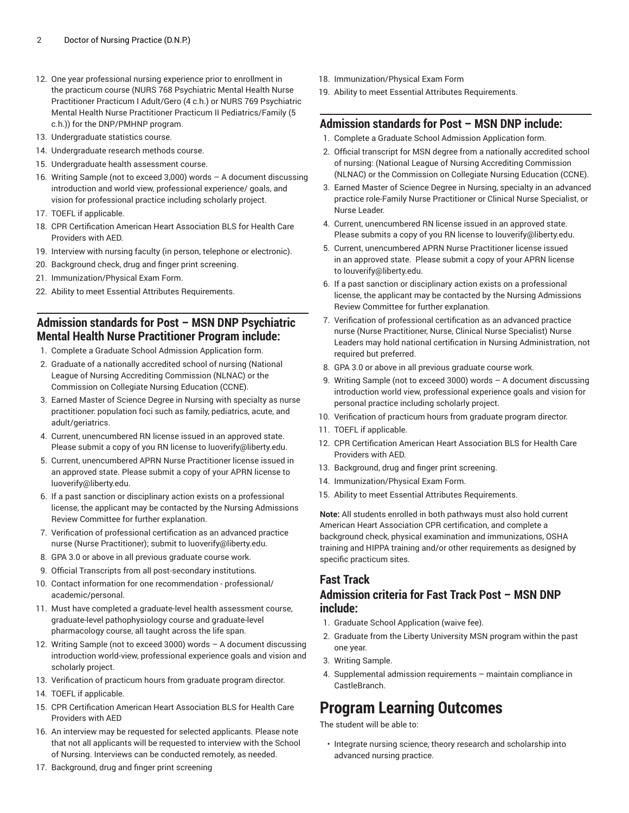- 12. One year professional nursing experience prior to enrollment in the practicum course (NURS 768 Psychiatric Mental Health Nurse Practitioner Practicum I Adult/Gero (4 c.h.) or NURS 769 Psychiatric Mental Health Nurse Practitioner Practicum II Pediatrics/Family (5 c.h.)) for the DNP/PMHNP program.
- 13. Undergraduate statistics course.
- 14. Undergraduate research methods course.
- 15. Undergraduate health assessment course.
- 16. Writing Sample (not to exceed 3,000) words A document discussing introduction and world view, professional experience/ goals, and vision for professional practice including scholarly project.
- 17. TOEFL if applicable.
- 18. CPR Certification American Heart Association BLS for Health Care Providers with AED.
- 19. Interview with nursing faculty (in person, telephone or electronic).
- 20. Background check, drug and finger print screening.
- 21. Immunization/Physical Exam Form.
- 22. Ability to meet Essential Attributes Requirements.

#### **Admission standards for Post – MSN DNP Psychiatric Mental Health Nurse Practitioner Program include:**

- 1. Complete a Graduate School Admission Application form.
- 2. Graduate of a nationally accredited school of nursing (National League of Nursing Accrediting Commission (NLNAC) or the Commission on Collegiate Nursing Education (CCNE).
- 3. Earned Master of Science Degree in Nursing with specialty as nurse practitioner: population foci such as family, pediatrics, acute, and adult/geriatrics.
- 4. Current, unencumbered RN license issued in an approved state. Please submit a copy of you RN license to [luoverify@liberty.edu.](mailto:luoverify@liberty.edu)
- 5. Current, unencumbered APRN Nurse Practitioner license issued in an approved state. Please submit a copy of your APRN license to [luoverify@liberty.edu](mailto:luoverify@liberty.edu).
- 6. If a past sanction or disciplinary action exists on a professional license, the applicant may be contacted by the Nursing Admissions Review Committee for further explanation.
- 7. Verification of professional certification as an advanced practice nurse (Nurse Practitioner); submit to [luoverify@liberty.edu](mailto:luoverify@liberty.edu).
- 8. GPA 3.0 or above in all previous graduate course work.
- 9. Official Transcripts from all post-secondary institutions.
- 10. Contact information for one recommendation professional/ academic/personal.
- 11. Must have completed a graduate-level health assessment course, graduate-level pathophysiology course and graduate-level pharmacology course, all taught across the life span.
- 12. Writing Sample (not to exceed 3000) words A document discussing introduction world-view, professional experience goals and vision and scholarly project.
- 13. Verification of practicum hours from graduate program director.
- 14. TOEFL if applicable.
- 15. CPR Certification American Heart Association BLS for Health Care Providers with AED
- 16. An interview may be requested for selected applicants. Please note that not all applicants will be requested to interview with the School of Nursing. Interviews can be conducted remotely, as needed.
- 18. Immunization/Physical Exam Form
- 19. Ability to meet Essential Attributes Requirements.

#### **Admission standards for Post – MSN DNP include:**

- 1. Complete a Graduate School Admission Application form.
- 2. Official transcript for MSN degree from a nationally accredited school of nursing: (National League of Nursing Accrediting Commission (NLNAC) or the Commission on Collegiate Nursing Education (CCNE).
- 3. Earned Master of Science Degree in Nursing, specialty in an advanced practice role-Family Nurse Practitioner or Clinical Nurse Specialist, or Nurse Leader.
- 4. Current, unencumbered RN license issued in an approved state. Please submits a copy of you RN license to [louverify@liberty.edu.](mailto:louverify@liberty.edu)
- 5. Current, unencumbered APRN Nurse Practitioner license issued in an approved state. Please submit a copy of your APRN license to [louverify@liberty.edu.](mailto:louverify@liberty.edu)
- 6. If a past sanction or disciplinary action exists on a professional license, the applicant may be contacted by the Nursing Admissions Review Committee for further explanation.
- 7. Verification of professional certification as an advanced practice nurse (Nurse Practitioner, Nurse, Clinical Nurse Specialist) Nurse Leaders may hold national certification in Nursing Administration, not required but preferred.
- 8. GPA 3.0 or above in all previous graduate course work.
- 9. Writing Sample (not to exceed 3000) words A document discussing introduction world view, professional experience goals and vision for personal practice including scholarly project.
- 10. Verification of practicum hours from graduate program director.
- 11. TOEFL if applicable.
- 12. CPR Certification American Heart Association BLS for Health Care Providers with AED.
- 13. Background, drug and finger print screening.
- 14. Immunization/Physical Exam Form.
- 15. Ability to meet Essential Attributes Requirements.

**Note:** All students enrolled in both pathways must also hold current American Heart Association CPR certification, and complete a background check, physical examination and immunizations, OSHA training and HIPPA training and/or other requirements as designed by specific practicum sites.

#### **Fast Track**

#### **Admission criteria for Fast Track Post – MSN DNP include:**

- 1. Graduate School Application (waive fee).
- 2. Graduate from the Liberty University MSN program within the past one year.
- 3. Writing Sample.
- 4. Supplemental admission requirements maintain compliance in CastleBranch.

### **Program Learning Outcomes**

The student will be able to:

• Integrate nursing science, theory research and scholarship into advanced nursing practice.

17. Background, drug and finger print screening